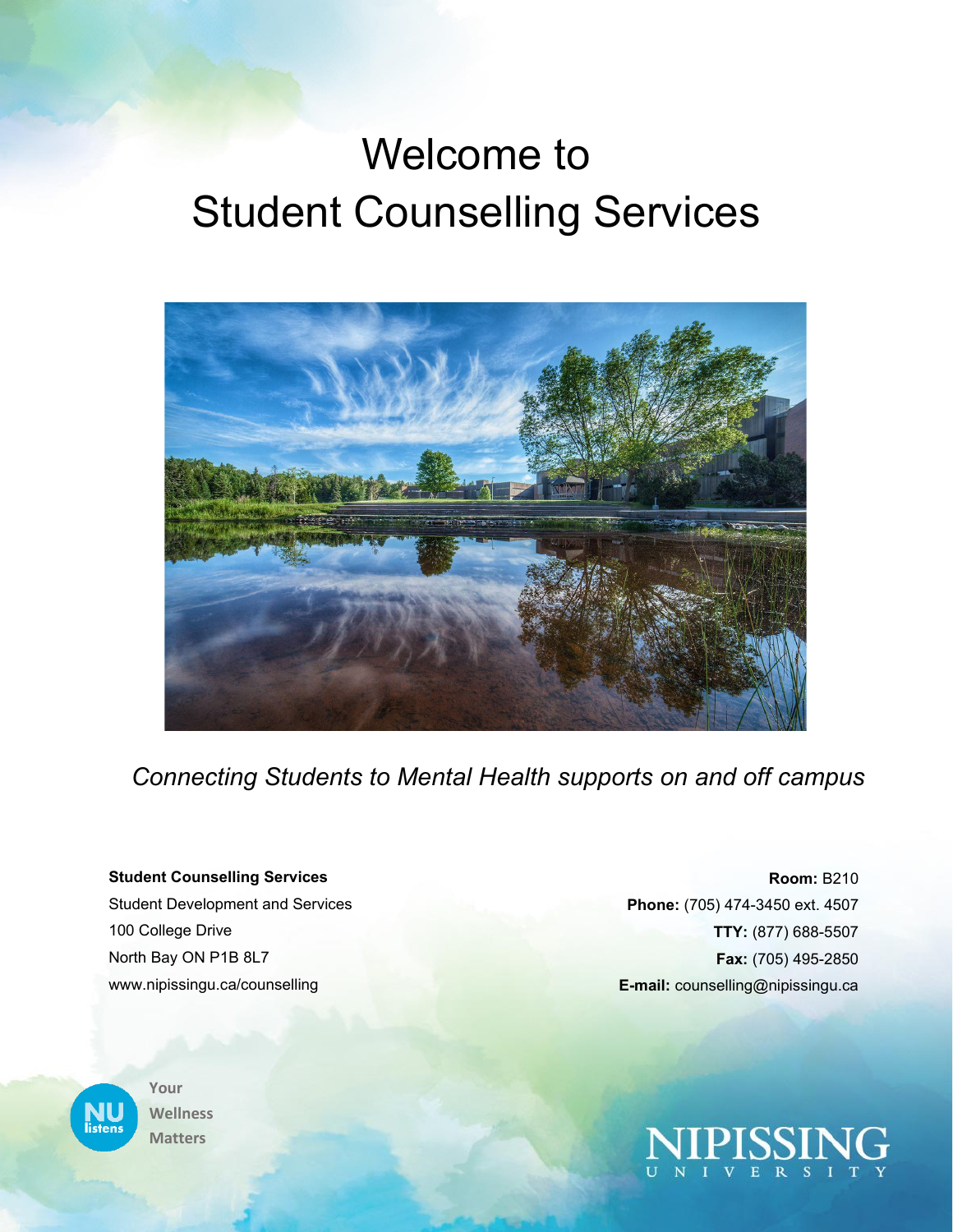# Welcome to Student Counselling Services



*Connecting Students to Mental Health supports on and off campus*

#### **Student Counselling Services**

Student Development and Services 100 College Drive North Bay ON P1B 8L7 www.nipissingu.ca/counselling



**Your Wellness Matters**

**Room:** B210 **Phone:** (705) 474-3450 ext. 4507 **TTY:** (877) 688-5507 **Fax:** (705) 495-2850 **E-mail:** counselling@nipissingu.ca

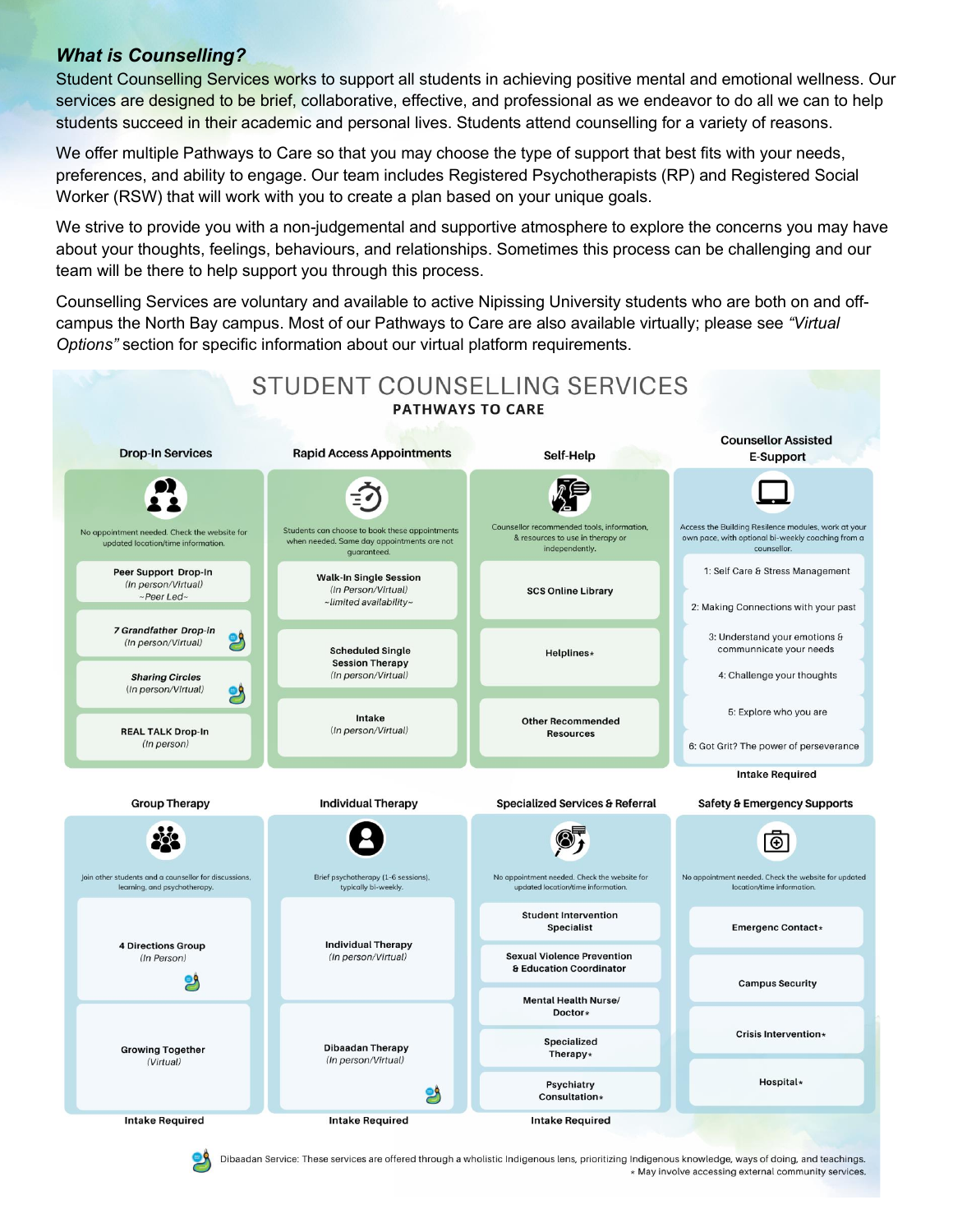# *What is Counselling?*

Student Counselling Services works to support all students in achieving positive mental and emotional wellness. Our services are designed to be brief, collaborative, effective, and professional as we endeavor to do all we can to help students succeed in their academic and personal lives. Students attend counselling for a variety of reasons.

We offer multiple Pathways to Care so that you may choose the type of support that best fits with your needs, preferences, and ability to engage. Our team includes Registered Psychotherapists (RP) and Registered Social Worker (RSW) that will work with you to create a plan based on your unique goals.

We strive to provide you with a non-judgemental and supportive atmosphere to explore the concerns you may have about your thoughts, feelings, behaviours, and relationships. Sometimes this process can be challenging and our team will be there to help support you through this process.

Counselling Services are voluntary and available to active Nipissing University students who are both on and offcampus the North Bay campus. Most of our Pathways to Care are also available virtually; please see *"Virtual Options"* section for specific information about our virtual platform requirements.



Dibaadan Service: These services are offered through a wholistic Indigenous lens, prioritizing Indigenous knowledge, ways of doing, and teachings. \* May involve accessing external community services.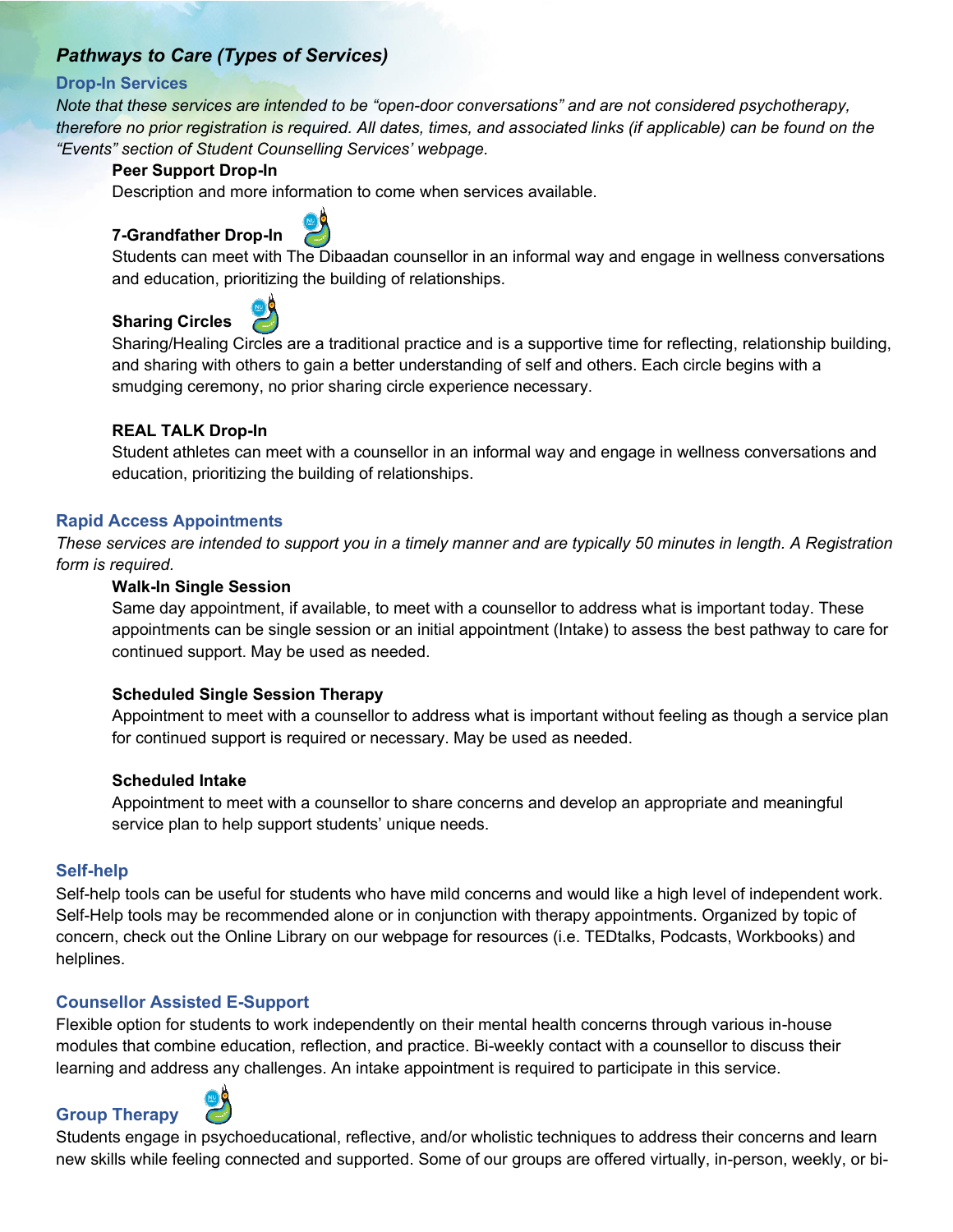# *Pathways to Care (Types of Services)*

### **Drop-In Services**

*Note that these services are intended to be "open-door conversations" and are not considered psychotherapy, therefore no prior registration is required. All dates, times, and associated links (if applicable) can be found on the "Events" section of Student Counselling Services' webpage.*

### **Peer Support Drop-In**

Description and more information to come when services available.

# **7-Grandfather Drop-In**



Students can meet with The Dibaadan counsellor in an informal way and engage in wellness conversations and education, prioritizing the building of relationships.

# **Sharing Circles**



Sharing/Healing Circles are a traditional practice and is a supportive time for reflecting, relationship building, and sharing with others to gain a better understanding of self and others. Each circle begins with a smudging ceremony, no prior sharing circle experience necessary.

### **REAL TALK Drop-In**

Student athletes can meet with a counsellor in an informal way and engage in wellness conversations and education, prioritizing the building of relationships.

### **Rapid Access Appointments**

*These services are intended to support you in a timely manner and are typically 50 minutes in length. A Registration form is required.*

### **Walk-In Single Session**

Same day appointment, if available, to meet with a counsellor to address what is important today. These appointments can be single session or an initial appointment (Intake) to assess the best pathway to care for continued support. May be used as needed.

### **Scheduled Single Session Therapy**

Appointment to meet with a counsellor to address what is important without feeling as though a service plan for continued support is required or necessary. May be used as needed.

### **Scheduled Intake**

Appointment to meet with a counsellor to share concerns and develop an appropriate and meaningful service plan to help support students' unique needs.

### **Self-help**

Self-help tools can be useful for students who have mild concerns and would like a high level of independent work. Self-Help tools may be recommended alone or in conjunction with therapy appointments. Organized by topic of concern, check out the Online Library on our webpage for resources (i.e. TEDtalks, Podcasts, Workbooks) and helplines.

### **Counsellor Assisted E-Support**

Flexible option for students to work independently on their mental health concerns through various in-house modules that combine education, reflection, and practice. Bi-weekly contact with a counsellor to discuss their learning and address any challenges. An intake appointment is required to participate in this service.

### **Group Therapy**



Students engage in psychoeducational, reflective, and/or wholistic techniques to address their concerns and learn new skills while feeling connected and supported. Some of our groups are offered virtually, in-person, weekly, or bi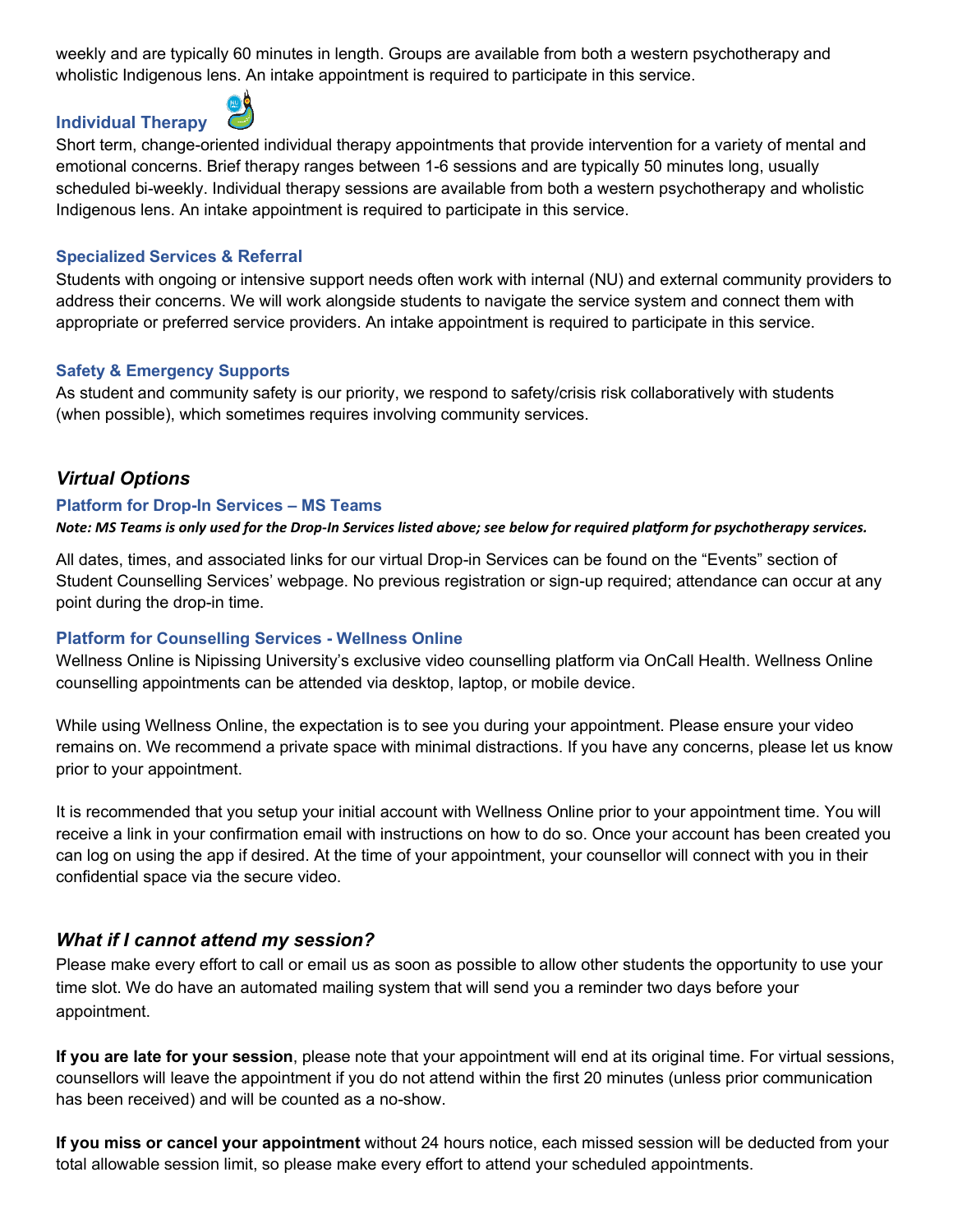weekly and are typically 60 minutes in length. Groups are available from both a western psychotherapy and wholistic Indigenous lens. An intake appointment is required to participate in this service.

# **Individual Therapy**



Short term, change-oriented individual therapy appointments that provide intervention for a variety of mental and emotional concerns. Brief therapy ranges between 1-6 sessions and are typically 50 minutes long, usually scheduled bi-weekly. Individual therapy sessions are available from both a western psychotherapy and wholistic Indigenous lens. An intake appointment is required to participate in this service.

### **Specialized Services & Referral**

Students with ongoing or intensive support needs often work with internal (NU) and external community providers to address their concerns. We will work alongside students to navigate the service system and connect them with appropriate or preferred service providers. An intake appointment is required to participate in this service.

### **Safety & Emergency Supports**

As student and community safety is our priority, we respond to safety/crisis risk collaboratively with students (when possible), which sometimes requires involving community services.

# *Virtual Options*

### **Platform for Drop-In Services – MS Teams**

#### *Note: MS Teams is only used for the Drop-In Services listed above; see below for required platform for psychotherapy services.*

All dates, times, and associated links for our virtual Drop-in Services can be found on the "Events" section of Student Counselling Services' webpage. No previous registration or sign-up required; attendance can occur at any point during the drop-in time.

### **Platform for Counselling Services - Wellness Online**

Wellness Online is Nipissing University's exclusive video counselling platform via OnCall Health. Wellness Online counselling appointments can be attended via desktop, laptop, or mobile device.

While using Wellness Online, the expectation is to see you during your appointment. Please ensure your video remains on. We recommend a private space with minimal distractions. If you have any concerns, please let us know prior to your appointment.

It is recommended that you setup your initial account with Wellness Online prior to your appointment time. You will receive a link in your confirmation email with instructions on how to do so. Once your account has been created you can log on using the app if desired. At the time of your appointment, your counsellor will connect with you in their confidential space via the secure video.

# *What if I cannot attend my session?*

Please make every effort to call or email us as soon as possible to allow other students the opportunity to use your time slot. We do have an automated mailing system that will send you a reminder two days before your appointment.

**If you are late for your session**, please note that your appointment will end at its original time. For virtual sessions, counsellors will leave the appointment if you do not attend within the first 20 minutes (unless prior communication has been received) and will be counted as a no-show.

**If you miss or cancel your appointment** without 24 hours notice, each missed session will be deducted from your total allowable session limit, so please make every effort to attend your scheduled appointments.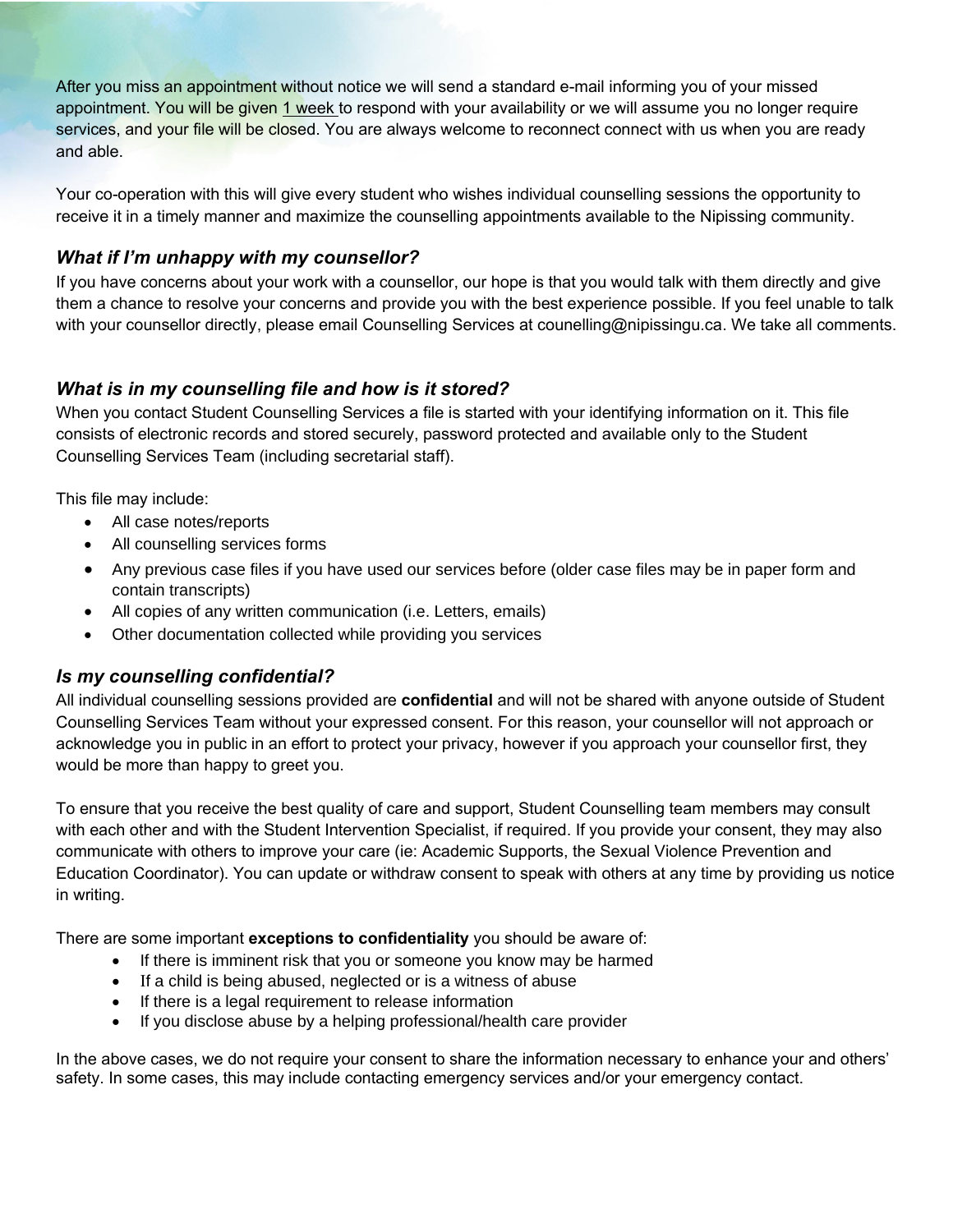After you miss an appointment without notice we will send a standard e-mail informing you of your missed appointment. You will be given 1 week to respond with your availability or we will assume you no longer require services, and your file will be closed. You are always welcome to reconnect connect with us when you are ready and able.

Your co-operation with this will give every student who wishes individual counselling sessions the opportunity to receive it in a timely manner and maximize the counselling appointments available to the Nipissing community.

# *What if I'm unhappy with my counsellor?*

If you have concerns about your work with a counsellor, our hope is that you would talk with them directly and give them a chance to resolve your concerns and provide you with the best experience possible. If you feel unable to talk with your counsellor directly, please email Counselling Services at counelling@nipissingu.ca. We take all comments.

# *What is in my counselling file and how is it stored?*

When you contact Student Counselling Services a file is started with your identifying information on it. This file consists of electronic records and stored securely, password protected and available only to the Student Counselling Services Team (including secretarial staff).

This file may include:

- All case notes/reports
- All counselling services forms
- Any previous case files if you have used our services before (older case files may be in paper form and contain transcripts)
- All copies of any written communication (i.e. Letters, emails)
- Other documentation collected while providing you services

# *Is my counselling confidential?*

All individual counselling sessions provided are **confidential** and will not be shared with anyone outside of Student Counselling Services Team without your expressed consent. For this reason, your counsellor will not approach or acknowledge you in public in an effort to protect your privacy, however if you approach your counsellor first, they would be more than happy to greet you.

To ensure that you receive the best quality of care and support, Student Counselling team members may consult with each other and with the Student Intervention Specialist, if required. If you provide your consent, they may also communicate with others to improve your care (ie: Academic Supports, the Sexual Violence Prevention and Education Coordinator). You can update or withdraw consent to speak with others at any time by providing us notice in writing.

There are some important **exceptions to confidentiality** you should be aware of:

- If there is imminent risk that you or someone you know may be harmed
- If a child is being abused, neglected or is a witness of abuse
- If there is a legal requirement to release information
- If you disclose abuse by a helping professional/health care provider

In the above cases, we do not require your consent to share the information necessary to enhance your and others' safety. In some cases, this may include contacting emergency services and/or your emergency contact.